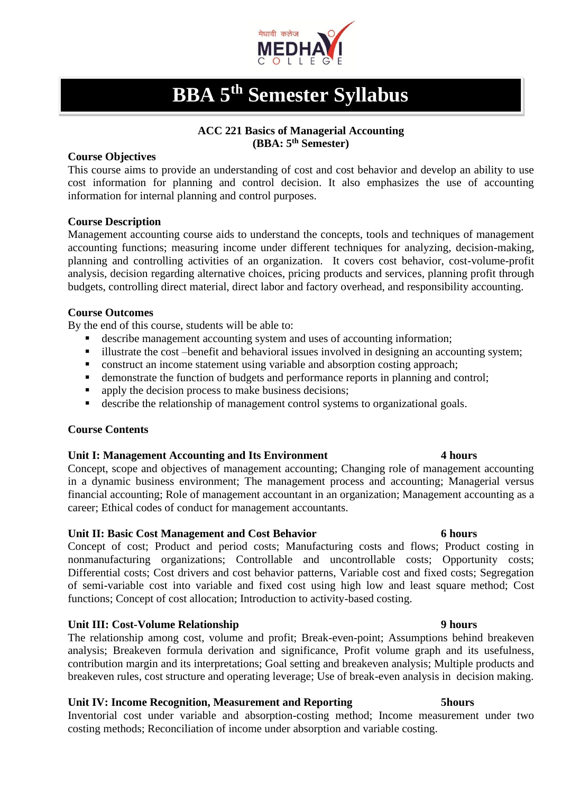

# **BBA 5 th Semester Syllabus**

# **ACC 221 Basics of Managerial Accounting (BBA: 5th Semester)**

# **Course Objectives**

This course aims to provide an understanding of cost and cost behavior and develop an ability to use cost information for planning and control decision. It also emphasizes the use of accounting information for internal planning and control purposes.

# **Course Description**

Management accounting course aids to understand the concepts, tools and techniques of management accounting functions; measuring income under different techniques for analyzing, decision-making, planning and controlling activities of an organization. It covers cost behavior, cost-volume-profit analysis, decision regarding alternative choices, pricing products and services, planning profit through budgets, controlling direct material, direct labor and factory overhead, and responsibility accounting.

# **Course Outcomes**

By the end of this course, students will be able to:

- describe management accounting system and uses of accounting information;
- illustrate the cost –benefit and behavioral issues involved in designing an accounting system;
- construct an income statement using variable and absorption costing approach;
- demonstrate the function of budgets and performance reports in planning and control;
- apply the decision process to make business decisions;
- describe the relationship of management control systems to organizational goals.

# **Course Contents**

# **Unit I: Management Accounting and Its Environment 4 hours**

Concept, scope and objectives of management accounting; Changing role of management accounting in a dynamic business environment; The management process and accounting; Managerial versus financial accounting; Role of management accountant in an organization; Management accounting as a career; Ethical codes of conduct for management accountants.

# **Unit II: Basic Cost Management and Cost Behavior 6 hours**

Concept of cost; Product and period costs; Manufacturing costs and flows; Product costing in nonmanufacturing organizations; Controllable and uncontrollable costs; Opportunity costs; Differential costs; Cost drivers and cost behavior patterns, Variable cost and fixed costs; Segregation of semi-variable cost into variable and fixed cost using high low and least square method; Cost functions; Concept of cost allocation; Introduction to activity-based costing.

# **Unit III: Cost-Volume Relationship 9 hours**

The relationship among cost, volume and profit; Break-even-point; Assumptions behind breakeven analysis; Breakeven formula derivation and significance, Profit volume graph and its usefulness, contribution margin and its interpretations; Goal setting and breakeven analysis; Multiple products and breakeven rules, cost structure and operating leverage; Use of break-even analysis in decision making.

# **Unit IV: Income Recognition, Measurement and Reporting 5hours**

Inventorial cost under variable and absorption-costing method; Income measurement under two costing methods; Reconciliation of income under absorption and variable costing.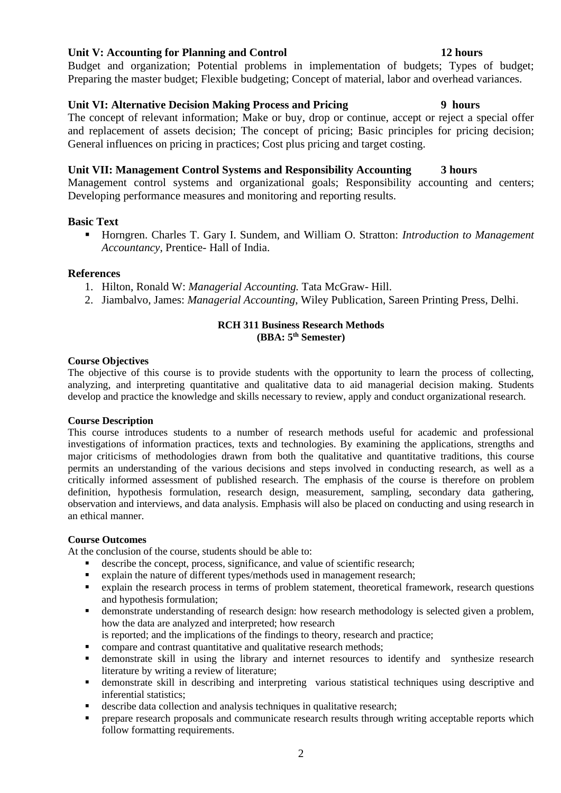# **Unit V: Accounting for Planning and Control 12 hours**

Budget and organization; Potential problems in implementation of budgets; Types of budget; Preparing the master budget; Flexible budgeting; Concept of material, labor and overhead variances.

# **Unit VI: Alternative Decision Making Process and Pricing 9 hours**

The concept of relevant information; Make or buy, drop or continue, accept or reject a special offer and replacement of assets decision; The concept of pricing; Basic principles for pricing decision; General influences on pricing in practices; Cost plus pricing and target costing.

# **Unit VII: Management Control Systems and Responsibility Accounting 3 hours**

Management control systems and organizational goals; Responsibility accounting and centers; Developing performance measures and monitoring and reporting results.

# **Basic Text**

■ Horngren. Charles T. Gary I. Sundem, and William O. Stratton: *Introduction to Management Accountancy*, Prentice- Hall of India.

# **References**

- 1. Hilton, Ronald W: *Managerial Accounting.* Tata McGraw- Hill.
- 2. Jiambalvo, James: *Managerial Accounting*, Wiley Publication, Sareen Printing Press, Delhi.

# **RCH 311 Business Research Methods**

# **(BBA: 5th Semester)**

### **Course Objectives**

The objective of this course is to provide students with the opportunity to learn the process of collecting, analyzing, and interpreting quantitative and qualitative data to aid managerial decision making. Students develop and practice the knowledge and skills necessary to review, apply and conduct organizational research.

### **Course Description**

This course introduces students to a number of research methods useful for academic and professional investigations of information practices, texts and technologies. By examining the applications, strengths and major criticisms of methodologies drawn from both the qualitative and quantitative traditions, this course permits an understanding of the various decisions and steps involved in conducting research, as well as a critically informed assessment of published research. The emphasis of the course is therefore on problem definition, hypothesis formulation, research design, measurement, sampling, secondary data gathering, observation and interviews, and data analysis. Emphasis will also be placed on conducting and using research in an ethical manner.

### **Course Outcomes**

At the conclusion of the course, students should be able to:

- describe the concept, process, significance, and value of scientific research;
- explain the nature of different types/methods used in management research;
- explain the research process in terms of problem statement, theoretical framework, research questions and hypothesis formulation;
- **EXECUTE:** demonstrate understanding of research design: how research methodology is selected given a problem, how the data are analyzed and interpreted; how research
- is reported; and the implications of the findings to theory, research and practice;
- compare and contrast quantitative and qualitative research methods;
- **•** demonstrate skill in using the library and internet resources to identify and synthesize research literature by writing a review of literature;
- demonstrate skill in describing and interpreting various statistical techniques using descriptive and inferential statistics;
- describe data collection and analysis techniques in qualitative research;
- prepare research proposals and communicate research results through writing acceptable reports which follow formatting requirements.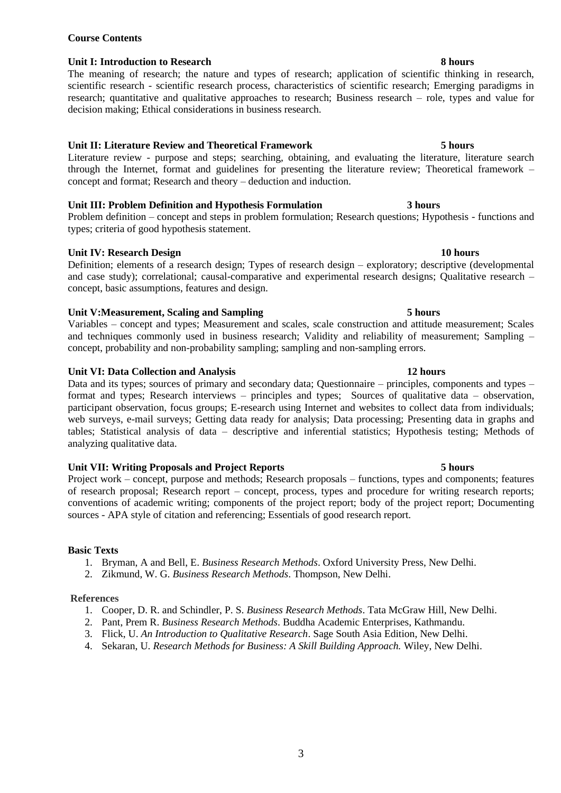# **Course Contents**

# **Unit I: Introduction to Research 8 hours**

The meaning of research; the nature and types of research; application of scientific thinking in research, scientific research - scientific research process, characteristics of scientific research; Emerging paradigms in research; quantitative and qualitative approaches to research; Business research – role, types and value for decision making; Ethical considerations in business research.

# **Unit II: Literature Review and Theoretical Framework 5 hours**

Literature review - purpose and steps; searching, obtaining, and evaluating the literature, literature search through the Internet, format and guidelines for presenting the literature review; Theoretical framework – concept and format; Research and theory – deduction and induction.

# **Unit III: Problem Definition and Hypothesis Formulation 3 hours**

Problem definition – concept and steps in problem formulation; Research questions; Hypothesis - functions and types; criteria of good hypothesis statement.

# **Unit IV: Research Design 10 hours**

Definition; elements of a research design; Types of research design – exploratory; descriptive (developmental and case study); correlational; causal-comparative and experimental research designs; Qualitative research – concept, basic assumptions, features and design.

# **Unit V:Measurement, Scaling and Sampling 5 hours**

Variables – concept and types; Measurement and scales, scale construction and attitude measurement; Scales and techniques commonly used in business research; Validity and reliability of measurement; Sampling – concept, probability and non-probability sampling; sampling and non-sampling errors.

# **Unit VI: Data Collection and Analysis 12 hours**

Data and its types; sources of primary and secondary data; Questionnaire – principles, components and types – format and types; Research interviews – principles and types; Sources of qualitative data – observation, participant observation, focus groups; E-research using Internet and websites to collect data from individuals; web surveys, e-mail surveys; Getting data ready for analysis; Data processing; Presenting data in graphs and tables; Statistical analysis of data – descriptive and inferential statistics; Hypothesis testing; Methods of analyzing qualitative data.

# **Unit VII: Writing Proposals and Project Reports 5 hours**

Project work – concept, purpose and methods; Research proposals – functions, types and components; features of research proposal; Research report – concept, process, types and procedure for writing research reports; conventions of academic writing; components of the project report; body of the project report; Documenting sources - APA style of citation and referencing; Essentials of good research report.

# **Basic Texts**

- 1. Bryman, A and Bell, E. *Business Research Methods*. Oxford University Press, New Delhi.
- 2. Zikmund, W. G. *Business Research Methods*. Thompson, New Delhi.

### **References**

- 1. Cooper, D. R. and Schindler, P. S. *Business Research Methods*. Tata McGraw Hill, New Delhi.
- 2. Pant, Prem R. *Business Research Methods*. Buddha Academic Enterprises, Kathmandu.
- 3. Flick, U. *An Introduction to Qualitative Research*. Sage South Asia Edition, New Delhi.
- 4. Sekaran, U. *Research Methods for Business: A Skill Building Approach.* Wiley, New Delhi.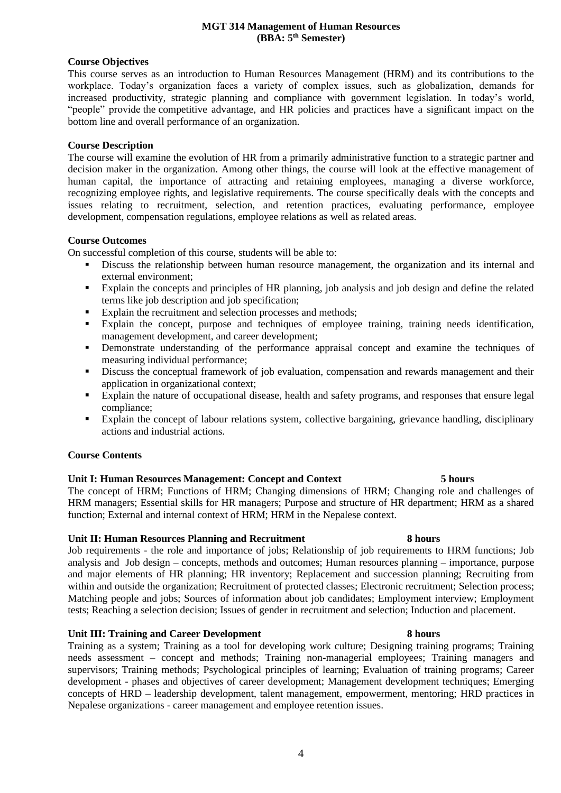### **MGT 314 Management of Human Resources (BBA: 5th Semester)**

### **Course Objectives**

This course serves as an introduction to Human Resources Management (HRM) and its contributions to the workplace. Today's organization faces a variety of complex issues, such as globalization, demands for increased productivity, strategic planning and compliance with government legislation. In today's world, "people" provide the competitive advantage, and HR policies and practices have a significant impact on the bottom line and overall performance of an organization.

# **Course Description**

The course will examine the evolution of HR from a primarily administrative function to a strategic partner and decision maker in the organization. Among other things, the course will look at the effective management of human capital, the importance of attracting and retaining employees, managing a diverse workforce, recognizing employee rights, and legislative requirements. The course specifically deals with the concepts and issues relating to recruitment, selection, and retention practices, evaluating performance, employee development, compensation regulations, employee relations as well as related areas.

# **Course Outcomes**

On successful completion of this course, students will be able to:

- Discuss the relationship between human resource management, the organization and its internal and external environment;
- Explain the concepts and principles of HR planning, job analysis and job design and define the related terms like job description and job specification;
- Explain the recruitment and selection processes and methods;
- Explain the concept, purpose and techniques of employee training, training needs identification, management development, and career development;
- **•** Demonstrate understanding of the performance appraisal concept and examine the techniques of measuring individual performance;
- **EXECUTE:** Discuss the conceptual framework of job evaluation, compensation and rewards management and their application in organizational context;
- Explain the nature of occupational disease, health and safety programs, and responses that ensure legal compliance;
- Explain the concept of labour relations system, collective bargaining, grievance handling, disciplinary actions and industrial actions.

# **Course Contents**

# **Unit I: Human Resources Management: Concept and Context 5 hours**

The concept of HRM; Functions of HRM; Changing dimensions of HRM; Changing role and challenges of HRM managers; Essential skills for HR managers; Purpose and structure of HR department; HRM as a shared function; External and internal context of HRM; HRM in the Nepalese context.

### **Unit II: Human Resources Planning and Recruitment 8 hours**

Job requirements - the role and importance of jobs; Relationship of job requirements to HRM functions; Job analysis and Job design – concepts, methods and outcomes; Human resources planning – importance, purpose and major elements of HR planning; HR inventory; Replacement and succession planning; Recruiting from within and outside the organization; Recruitment of protected classes; Electronic recruitment; Selection process; Matching people and jobs; Sources of information about job candidates; Employment interview; Employment tests; Reaching a selection decision; Issues of gender in recruitment and selection; Induction and placement.

### **Unit III: Training and Career Development 8 hours**

Training as a system; Training as a tool for developing work culture; Designing training programs; Training needs assessment – concept and methods; Training non-managerial employees; Training managers and supervisors; Training methods; Psychological principles of learning; Evaluation of training programs; Career development - phases and objectives of career development; Management development techniques; Emerging concepts of HRD – leadership development, talent management, empowerment, mentoring; HRD practices in Nepalese organizations - career management and employee retention issues.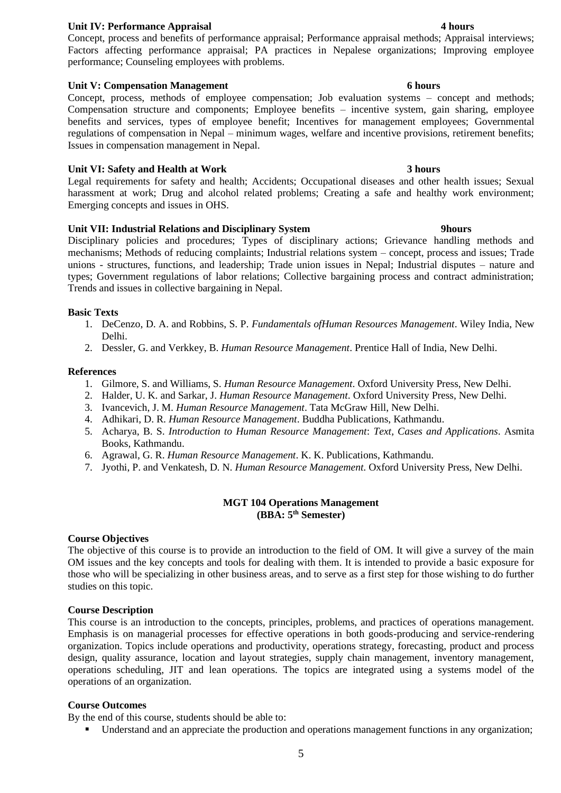### **Unit IV: Performance Appraisal 4 hours**

Concept, process and benefits of performance appraisal; Performance appraisal methods; Appraisal interviews; Factors affecting performance appraisal; PA practices in Nepalese organizations; Improving employee performance; Counseling employees with problems.

### **Unit V: Compensation Management 6 hours**

Concept, process, methods of employee compensation; Job evaluation systems – concept and methods; Compensation structure and components; Employee benefits – incentive system, gain sharing, employee benefits and services, types of employee benefit; Incentives for management employees; Governmental regulations of compensation in Nepal – minimum wages, welfare and incentive provisions, retirement benefits; Issues in compensation management in Nepal.

# **Unit VI: Safety and Health at Work 3 hours**

Legal requirements for safety and health; Accidents; Occupational diseases and other health issues; Sexual harassment at work; Drug and alcohol related problems; Creating a safe and healthy work environment; Emerging concepts and issues in OHS.

# **Unit VII: Industrial Relations and Disciplinary System 9hours**

Disciplinary policies and procedures; Types of disciplinary actions; Grievance handling methods and mechanisms; Methods of reducing complaints; Industrial relations system – concept, process and issues; Trade unions - structures, functions, and leadership; Trade union issues in Nepal; Industrial disputes – nature and types; Government regulations of labor relations; Collective bargaining process and contract administration; Trends and issues in collective bargaining in Nepal.

# **Basic Texts**

- 1. DeCenzo, D. A. and Robbins, S. P. *Fundamentals ofHuman Resources Management*. Wiley India, New Delhi.
- 2. Dessler, G. and Verkkey, B. *Human Resource Management*. Prentice Hall of India, New Delhi.

### **References**

- 1. Gilmore, S. and Williams, S. *Human Resource Management*. Oxford University Press, New Delhi.
- 2. Halder, U. K. and Sarkar, J. *Human Resource Management*. Oxford University Press, New Delhi.
- 3. Ivancevich, J. M. *Human Resource Management*. Tata McGraw Hill, New Delhi.
- 4. Adhikari, D. R. *Human Resource Management*. Buddha Publications, Kathmandu.
- 5. Acharya, B. S. *Introduction to Human Resource Management*: *Text, Cases and Applications*. Asmita Books, Kathmandu.
- 6. Agrawal, G. R. *Human Resource Management*. K. K. Publications, Kathmandu.
- 7. Jyothi, P. and Venkatesh, D. N. *Human Resource Management*. Oxford University Press, New Delhi.

# **MGT 104 Operations Management (BBA: 5th Semester)**

### **Course Objectives**

The objective of this course is to provide an introduction to the field of OM. It will give a survey of the main OM issues and the key concepts and tools for dealing with them. It is intended to provide a basic exposure for those who will be specializing in other business areas, and to serve as a first step for those wishing to do further studies on this topic.

### **Course Description**

This course is an introduction to the concepts, principles, problems, and practices of operations management. Emphasis is on managerial processes for effective operations in both goods-producing and service-rendering organization. Topics include operations and productivity, operations strategy, forecasting, product and process design, quality assurance, location and layout strategies, supply chain management, inventory management, operations scheduling, JIT and lean operations. The topics are integrated using a systems model of the operations of an organization.

### **Course Outcomes**

By the end of this course, students should be able to:

▪ Understand and an appreciate the production and operations management functions in any organization;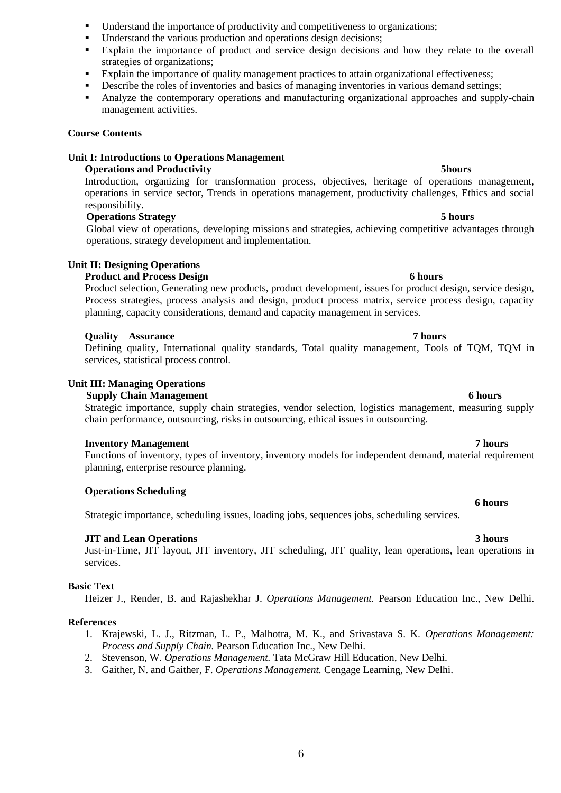- Understand the importance of productivity and competitiveness to organizations;
- Understand the various production and operations design decisions;
- Explain the importance of product and service design decisions and how they relate to the overall strategies of organizations;
- Explain the importance of quality management practices to attain organizational effectiveness;
- **•** Describe the roles of inventories and basics of managing inventories in various demand settings;
- Analyze the contemporary operations and manufacturing organizational approaches and supply-chain management activities.

### **Course Contents**

# **Unit I: Introductions to Operations Management**

### **Operations and Productivity 5hours**

Introduction, organizing for transformation process, objectives, heritage of operations management, operations in service sector, Trends in operations management, productivity challenges, Ethics and social responsibility.

### **Operations Strategy 5 hours**

Global view of operations, developing missions and strategies, achieving competitive advantages through operations, strategy development and implementation.

# **Unit II: Designing Operations**

# **Product and Process Design 6 hours** 6 hours

Product selection, Generating new products, product development, issues for product design, service design, Process strategies, process analysis and design, product process matrix, service process design, capacity planning, capacity considerations, demand and capacity management in services.

### **Quality Assurance 7 hours**

Defining quality, International quality standards, Total quality management, Tools of TQM, TQM in services, statistical process control.

### **Unit III: Managing Operations**

### **Supply Chain Management** 6 **hours** 6 **hours**

Strategic importance, supply chain strategies, vendor selection, logistics management, measuring supply chain performance, outsourcing, risks in outsourcing, ethical issues in outsourcing.

### **Inventory Management 7 hours**

Functions of inventory, types of inventory, inventory models for independent demand, material requirement planning, enterprise resource planning.

### **Operations Scheduling**

Strategic importance, scheduling issues, loading jobs, sequences jobs, scheduling services.

### **JIT and Lean Operations** 3 hours 3 hours

Just-in-Time, JIT layout, JIT inventory, JIT scheduling, JIT quality, lean operations, lean operations in services.

### **Basic Text**

Heizer J., Render, B. and Rajashekhar J. *Operations Management.* Pearson Education Inc., New Delhi.

### **References**

- 1. Krajewski, L. J., Ritzman, L. P., Malhotra, M. K., and Srivastava S. K. *Operations Management: Process and Supply Chain.* Pearson Education Inc., New Delhi.
- 2. Stevenson, W. *Operations Management.* Tata McGraw Hill Education, New Delhi.
- 3. Gaither, N. and Gaither, F. *Operations Management.* Cengage Learning, New Delhi.

# **6 hours**